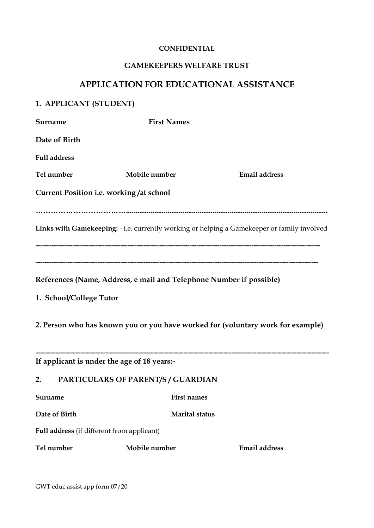#### **CONFIDENTIAL**

#### **GAMEKEEPERS WELFARE TRUST**

# **APPLICATION FOR EDUCATIONAL ASSISTANCE**

# **1. APPLICANT (STUDENT)**

| Surname                                    | <b>First Names</b>                                                  |                                                                                             |
|--------------------------------------------|---------------------------------------------------------------------|---------------------------------------------------------------------------------------------|
| Date of Birth                              |                                                                     |                                                                                             |
| <b>Full address</b>                        |                                                                     |                                                                                             |
| Tel number                                 | Mobile number                                                       | <b>Email address</b>                                                                        |
|                                            | <b>Current Position i.e. working/at school</b>                      |                                                                                             |
|                                            |                                                                     | Links with Gamekeeping: - i.e. currently working or helping a Gamekeeper or family involved |
| 1. School/College Tutor                    | References (Name, Address, e mail and Telephone Number if possible) |                                                                                             |
|                                            |                                                                     | 2. Person who has known you or you have worked for (voluntary work for example)             |
|                                            | If applicant is under the age of 18 years:-                         |                                                                                             |
| 2.                                         | PARTICULARS OF PARENT/S / GUARDIAN                                  |                                                                                             |
| Surname                                    | First names                                                         |                                                                                             |
| Date of Birth                              | <b>Marital status</b>                                               |                                                                                             |
| Full address (if different from applicant) |                                                                     |                                                                                             |
| Tel number                                 | Mobile number                                                       | <b>Email address</b>                                                                        |

GWT educ assist app form 07/20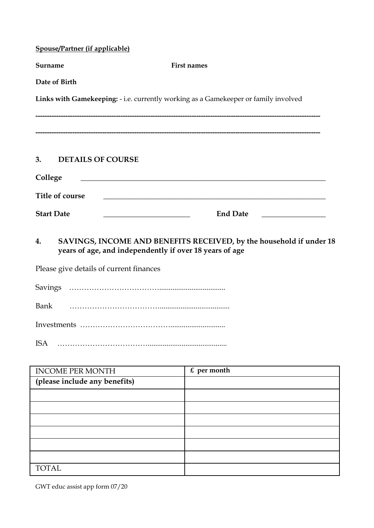| <b>Spouse/Partner (if applicable)</b>   |                                                                                                                                                                                              |  |  |  |  |
|-----------------------------------------|----------------------------------------------------------------------------------------------------------------------------------------------------------------------------------------------|--|--|--|--|
| Surname                                 | <b>First names</b>                                                                                                                                                                           |  |  |  |  |
|                                         | Date of Birth                                                                                                                                                                                |  |  |  |  |
|                                         | Links with Gamekeeping: - i.e. currently working as a Gamekeeper or family involved                                                                                                          |  |  |  |  |
| 3.                                      | <b>DETAILS OF COURSE</b>                                                                                                                                                                     |  |  |  |  |
| College                                 | <u> 1989 - Johann Barn, mars ann an t-Amhain ann an t-Amhain an t-Amhain an t-Amhain an t-Amhain an t-Amhain an t-</u>                                                                       |  |  |  |  |
|                                         | <b>Title of course</b><br><u> 1980 - Johann Barn, mars eta bat erroman erroman erroman erroman ez erroman ez erroman ez erroman ez ez ez e</u>                                               |  |  |  |  |
| <b>Start Date</b>                       | <b>End Date</b><br><u> 1989 - Johann Barnett, fransk politiker (</u><br><u> 1989 - Jan James James James James James James James James James James James James James James James James J</u> |  |  |  |  |
| 4.                                      | SAVINGS, INCOME AND BENEFITS RECEIVED, by the household if under 18<br>years of age, and independently if over 18 years of age                                                               |  |  |  |  |
| Please give details of current finances |                                                                                                                                                                                              |  |  |  |  |
|                                         |                                                                                                                                                                                              |  |  |  |  |
| <b>Bank</b>                             |                                                                                                                                                                                              |  |  |  |  |
|                                         |                                                                                                                                                                                              |  |  |  |  |
| <b>ISA</b>                              |                                                                                                                                                                                              |  |  |  |  |

| <b>INCOME PER MONTH</b>       | $\epsilon$ per month |
|-------------------------------|----------------------|
| (please include any benefits) |                      |
|                               |                      |
|                               |                      |
|                               |                      |
|                               |                      |
|                               |                      |
|                               |                      |
| TOTAL                         |                      |

GWT educ assist app form 07/20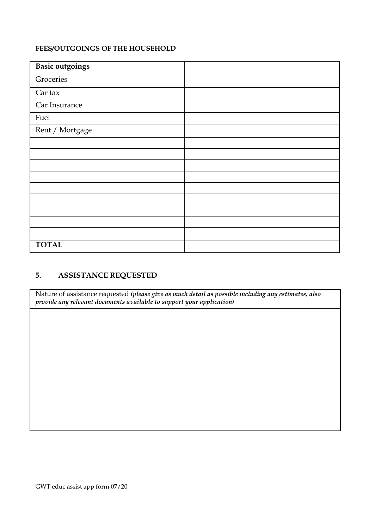### **FEES/OUTGOINGS OF THE HOUSEHOLD**

| Basic outgoings |  |
|-----------------|--|
| Groceries       |  |
| Car tax         |  |
| Car Insurance   |  |
| Fuel            |  |
| Rent / Mortgage |  |
|                 |  |
|                 |  |
|                 |  |
|                 |  |
|                 |  |
|                 |  |
|                 |  |
|                 |  |
|                 |  |
| <b>TOTAL</b>    |  |

## **5. ASSISTANCE REQUESTED**

Nature of assistance requested *(please give as much detail as possible including any estimates, also provide any relevant documents available to support your application)*